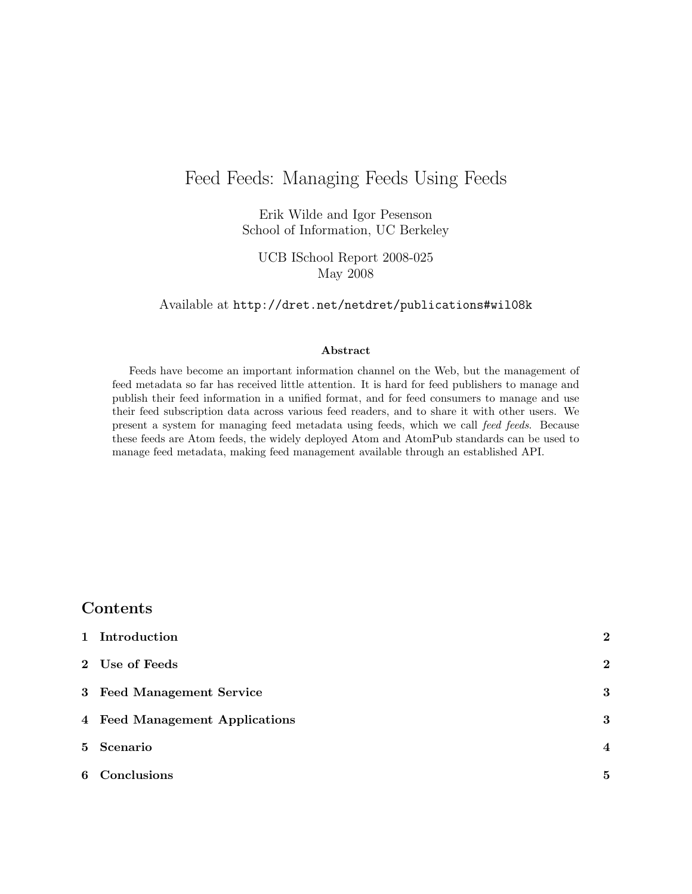## Feed Feeds: Managing Feeds Using Feeds

Erik Wilde and Igor Pesenson [School of Information, UC Berkeley](http://www.ischool.berkeley.edu/)

UCB ISchool Report 2008-025 May 2008

Available at <http://dret.net/netdret/publications#wil08k>

#### Abstract

Feeds have become an important information channel on the Web, but the management of feed metadata so far has received little attention. It is hard for feed publishers to manage and publish their feed information in a unified format, and for feed consumers to manage and use their feed subscription data across various feed readers, and to share it with other users. We present a system for managing feed metadata using feeds, which we call feed feeds. Because these feeds are Atom feeds, the widely deployed Atom and AtomPub standards can be used to manage feed metadata, making feed management available through an established API.

#### Contents

| 1 Introduction                 | $\overline{2}$ |
|--------------------------------|----------------|
| 2 Use of Feeds                 | $\overline{2}$ |
| 3 Feed Management Service      | 3              |
| 4 Feed Management Applications | 3              |
| 5 Scenario                     | $\overline{4}$ |
| 6 Conclusions                  | 5              |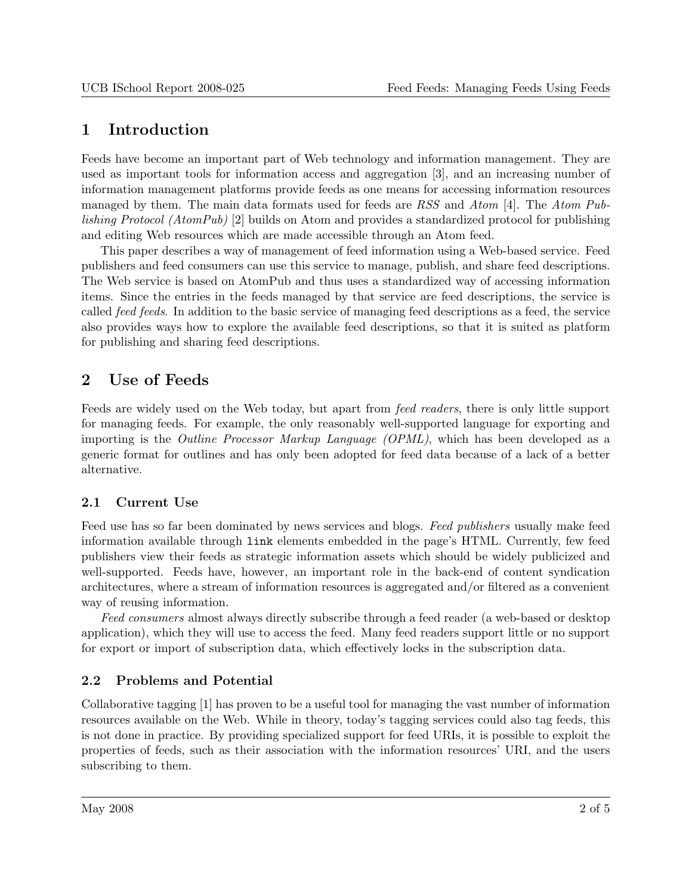## <span id="page-1-0"></span>1 Introduction

Feeds have become an important part of Web technology and information management. They are used as important tools for information access and aggregation [\[3\]](#page-4-0), and an increasing number of information management platforms provide feeds as one means for accessing information resources managed by them. The main data formats used for feeds are RSS and Atom [\[4\]](#page-4-0). The Atom Publishing Protocol (AtomPub) [\[2\]](#page-4-0) builds on Atom and provides a standardized protocol for publishing and editing Web resources which are made accessible through an Atom feed.

This paper describes a way of management of feed information using a Web-based service. Feed publishers and feed consumers can use this service to manage, publish, and share feed descriptions. The Web service is based on AtomPub and thus uses a standardized way of accessing information items. Since the entries in the feeds managed by that service are feed descriptions, the service is called feed feeds. In addition to the basic service of managing feed descriptions as a feed, the service also provides ways how to explore the available feed descriptions, so that it is suited as platform for publishing and sharing feed descriptions.

# 2 Use of Feeds

Feeds are widely used on the Web today, but apart from feed readers, there is only little support for managing feeds. For example, the only reasonably well-supported language for exporting and importing is the Outline Processor Markup Language (OPML), which has been developed as a generic format for outlines and has only been adopted for feed data because of a lack of a better alternative.

#### 2.1 Current Use

Feed use has so far been dominated by news services and blogs. Feed publishers usually make feed information available through link elements embedded in the page's HTML. Currently, few feed publishers view their feeds as strategic information assets which should be widely publicized and well-supported. Feeds have, however, an important role in the back-end of content syndication architectures, where a stream of information resources is aggregated and/or filtered as a convenient way of reusing information.

Feed consumers almost always directly subscribe through a feed reader (a web-based or desktop application), which they will use to access the feed. Many feed readers support little or no support for export or import of subscription data, which effectively locks in the subscription data.

#### 2.2 Problems and Potential

Collaborative tagging [\[1\]](#page-4-0) has proven to be a useful tool for managing the vast number of information resources available on the Web. While in theory, today's tagging services could also tag feeds, this is not done in practice. By providing specialized support for feed URIs, it is possible to exploit the properties of feeds, such as their association with the information resources' URI, and the users subscribing to them.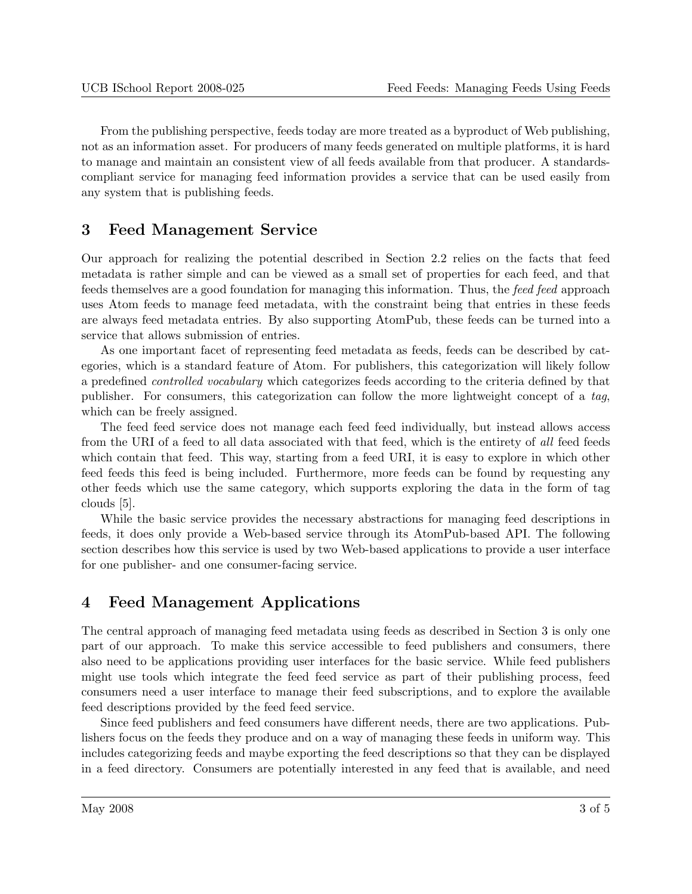<span id="page-2-0"></span>From the publishing perspective, feeds today are more treated as a byproduct of Web publishing, not as an information asset. For producers of many feeds generated on multiple platforms, it is hard to manage and maintain an consistent view of all feeds available from that producer. A standardscompliant service for managing feed information provides a service that can be used easily from any system that is publishing feeds.

### 3 Feed Management Service

Our approach for realizing the potential described in Section [2.2](#page-1-0) relies on the facts that feed metadata is rather simple and can be viewed as a small set of properties for each feed, and that feeds themselves are a good foundation for managing this information. Thus, the feed feed approach uses Atom feeds to manage feed metadata, with the constraint being that entries in these feeds are always feed metadata entries. By also supporting AtomPub, these feeds can be turned into a service that allows submission of entries.

As one important facet of representing feed metadata as feeds, feeds can be described by categories, which is a standard feature of Atom. For publishers, this categorization will likely follow a predefined controlled vocabulary which categorizes feeds according to the criteria defined by that publisher. For consumers, this categorization can follow the more lightweight concept of a tag, which can be freely assigned.

The feed feed service does not manage each feed feed individually, but instead allows access from the URI of a feed to all data associated with that feed, which is the entirety of all feed feeds which contain that feed. This way, starting from a feed URI, it is easy to explore in which other feed feeds this feed is being included. Furthermore, more feeds can be found by requesting any other feeds which use the same category, which supports exploring the data in the form of tag clouds [\[5\]](#page-4-0).

While the basic service provides the necessary abstractions for managing feed descriptions in feeds, it does only provide a Web-based service through its AtomPub-based API. The following section describes how this service is used by two Web-based applications to provide a user interface for one publisher- and one consumer-facing service.

# 4 Feed Management Applications

The central approach of managing feed metadata using feeds as described in Section 3 is only one part of our approach. To make this service accessible to feed publishers and consumers, there also need to be applications providing user interfaces for the basic service. While feed publishers might use tools which integrate the feed feed service as part of their publishing process, feed consumers need a user interface to manage their feed subscriptions, and to explore the available feed descriptions provided by the feed feed service.

Since feed publishers and feed consumers have different needs, there are two applications. Publishers focus on the feeds they produce and on a way of managing these feeds in uniform way. This includes categorizing feeds and maybe exporting the feed descriptions so that they can be displayed in a feed directory. Consumers are potentially interested in any feed that is available, and need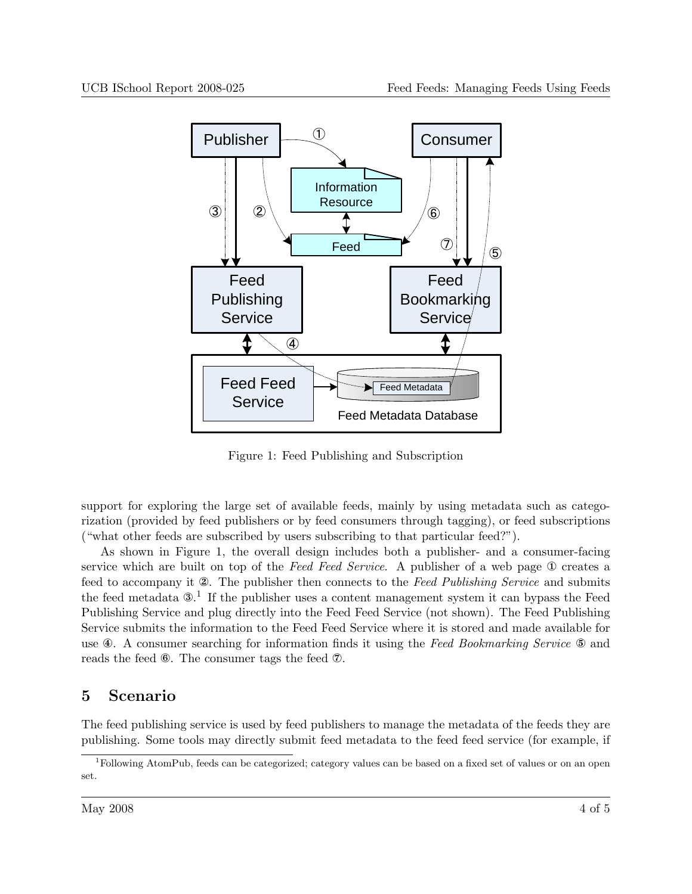<span id="page-3-0"></span>

Figure 1: Feed Publishing and Subscription

support for exploring the large set of available feeds, mainly by using metadata such as categorization (provided by feed publishers or by feed consumers through tagging), or feed subscriptions ("what other feeds are subscribed by users subscribing to that particular feed?").

As shown in Figure 1, the overall design includes both a publisher- and a consumer-facing service which are built on top of the Feed Feed Service. A publisher of a web page ① creates a feed to accompany it ②. The publisher then connects to the Feed Publishing Service and submits the feed metadata  $\mathfrak{D}^1$ . If the publisher uses a content management system it can bypass the Feed Publishing Service and plug directly into the Feed Feed Service (not shown). The Feed Publishing Service submits the information to the Feed Feed Service where it is stored and made available for use  $\circledast$ . A consumer searching for information finds it using the Feed Bookmarking Service  $\circledast$  and reads the feed ⑥. The consumer tags the feed ⑦.

### 5 Scenario

The feed publishing service is used by feed publishers to manage the metadata of the feeds they are publishing. Some tools may directly submit feed metadata to the feed feed service (for example, if

<sup>1</sup>Following AtomPub, feeds can be categorized; category values can be based on a fixed set of values or on an open set.